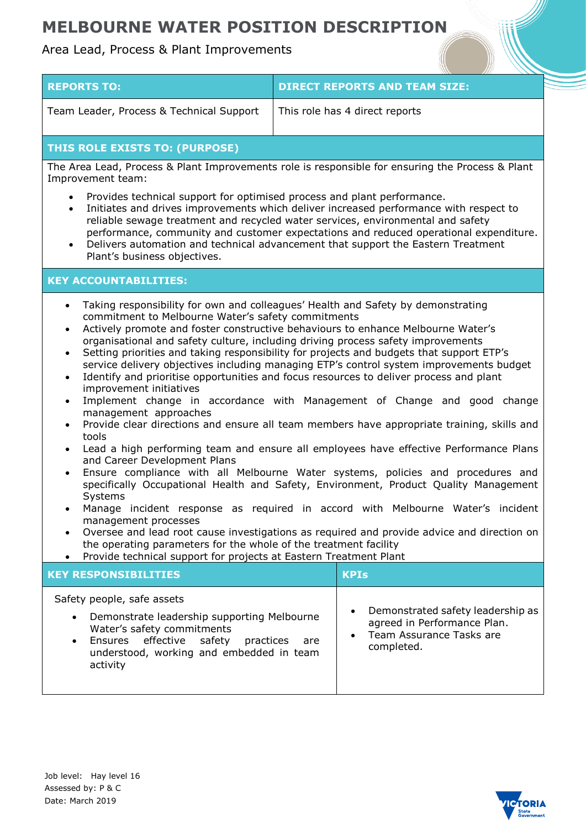## **MELBOURNE WATER POSITION DESCRIPTION**

## Area Lead, Process & Plant Improvements

| <b>REPORTS TO:</b>                       | <b>DIRECT REPORTS AND TEAM SIZE:</b> |
|------------------------------------------|--------------------------------------|
| Team Leader, Process & Technical Support | This role has 4 direct reports       |

## **THIS ROLE EXISTS TO: (PURPOSE)**

The Area Lead, Process & Plant Improvements role is responsible for ensuring the Process & Plant Improvement team:

- Provides technical support for optimised process and plant performance.
- Initiates and drives improvements which deliver increased performance with respect to reliable sewage treatment and recycled water services, environmental and safety performance, community and customer expectations and reduced operational expenditure.
- Delivers automation and technical advancement that support the Eastern Treatment Plant's business objectives.

### **KEY ACCOUNTABILITIES:**

- Taking responsibility for own and colleagues' Health and Safety by demonstrating commitment to Melbourne Water's safety commitments
- Actively promote and foster constructive behaviours to enhance Melbourne Water's organisational and safety culture, including driving process safety improvements
- Setting priorities and taking responsibility for projects and budgets that support ETP's service delivery objectives including managing ETP's control system improvements budget
- Identify and prioritise opportunities and focus resources to deliver process and plant improvement initiatives
- Implement change in accordance with Management of Change and good change management approaches
- Provide clear directions and ensure all team members have appropriate training, skills and tools
- Lead a high performing team and ensure all employees have effective Performance Plans and Career Development Plans
- Ensure compliance with all Melbourne Water systems, policies and procedures and specifically Occupational Health and Safety, Environment, Product Quality Management Systems
- Manage incident response as required in accord with Melbourne Water's incident management processes
- Oversee and lead root cause investigations as required and provide advice and direction on the operating parameters for the whole of the treatment facility
- Provide technical support for projects at Eastern Treatment Plant

| <b>KEY RESPONSIBILITIES</b>                                                                                                                                                                                                               | <b>KPIs</b>                                                                                                                          |
|-------------------------------------------------------------------------------------------------------------------------------------------------------------------------------------------------------------------------------------------|--------------------------------------------------------------------------------------------------------------------------------------|
| Safety people, safe assets<br>Demonstrate leadership supporting Melbourne<br>$\bullet$<br>Water's safety commitments<br>Ensures effective safety<br>practices<br>are<br>$\bullet$<br>understood, working and embedded in team<br>activity | Demonstrated safety leadership as<br>$\bullet$<br>agreed in Performance Plan.<br>Team Assurance Tasks are<br>$\bullet$<br>completed. |

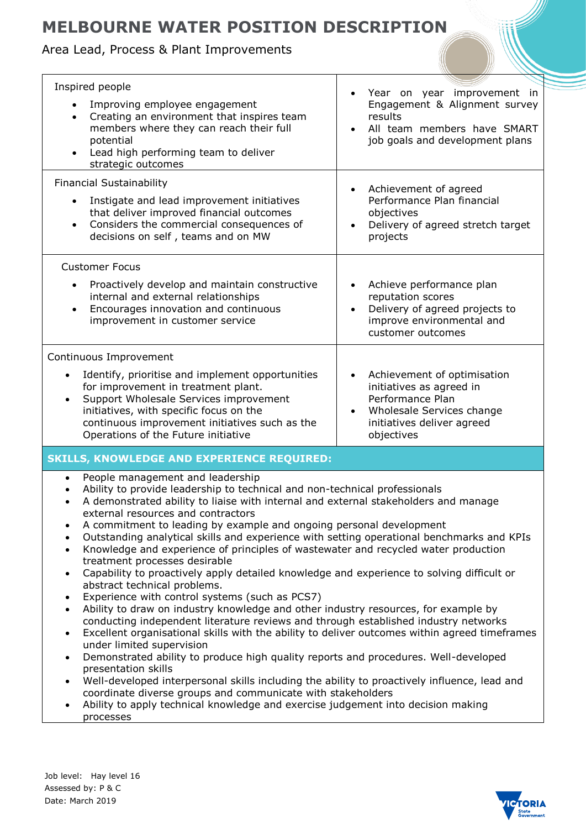# **MELBOURNE WATER POSITION DESCRIPTION**

## Area Lead, Process & Plant Improvements

| Inspired people<br>Improving employee engagement<br>Creating an environment that inspires team<br>$\bullet$<br>members where they can reach their full<br>potential<br>Lead high performing team to deliver<br>strategic outcomes                                                                                                                                                                                                                                                                                                                                                                                                                                                                                                                                                                                                                                                                                                                                                                                                                                                                                                                                                                                                                                                                                                                                 | Year on year improvement in<br>Engagement & Alignment survey<br>results<br>All team members have SMART<br>job goals and development plans                 |  |
|-------------------------------------------------------------------------------------------------------------------------------------------------------------------------------------------------------------------------------------------------------------------------------------------------------------------------------------------------------------------------------------------------------------------------------------------------------------------------------------------------------------------------------------------------------------------------------------------------------------------------------------------------------------------------------------------------------------------------------------------------------------------------------------------------------------------------------------------------------------------------------------------------------------------------------------------------------------------------------------------------------------------------------------------------------------------------------------------------------------------------------------------------------------------------------------------------------------------------------------------------------------------------------------------------------------------------------------------------------------------|-----------------------------------------------------------------------------------------------------------------------------------------------------------|--|
| <b>Financial Sustainability</b><br>Instigate and lead improvement initiatives                                                                                                                                                                                                                                                                                                                                                                                                                                                                                                                                                                                                                                                                                                                                                                                                                                                                                                                                                                                                                                                                                                                                                                                                                                                                                     | Achievement of agreed<br>$\bullet$<br>Performance Plan financial                                                                                          |  |
| that deliver improved financial outcomes<br>Considers the commercial consequences of<br>$\bullet$<br>decisions on self, teams and on MW                                                                                                                                                                                                                                                                                                                                                                                                                                                                                                                                                                                                                                                                                                                                                                                                                                                                                                                                                                                                                                                                                                                                                                                                                           | objectives<br>Delivery of agreed stretch target<br>projects                                                                                               |  |
| <b>Customer Focus</b>                                                                                                                                                                                                                                                                                                                                                                                                                                                                                                                                                                                                                                                                                                                                                                                                                                                                                                                                                                                                                                                                                                                                                                                                                                                                                                                                             |                                                                                                                                                           |  |
| Proactively develop and maintain constructive<br>internal and external relationships<br>Encourages innovation and continuous<br>improvement in customer service                                                                                                                                                                                                                                                                                                                                                                                                                                                                                                                                                                                                                                                                                                                                                                                                                                                                                                                                                                                                                                                                                                                                                                                                   | Achieve performance plan<br>reputation scores<br>Delivery of agreed projects to<br>improve environmental and<br>customer outcomes                         |  |
| Continuous Improvement                                                                                                                                                                                                                                                                                                                                                                                                                                                                                                                                                                                                                                                                                                                                                                                                                                                                                                                                                                                                                                                                                                                                                                                                                                                                                                                                            |                                                                                                                                                           |  |
| Identify, prioritise and implement opportunities<br>for improvement in treatment plant.<br>Support Wholesale Services improvement<br>$\bullet$<br>initiatives, with specific focus on the<br>continuous improvement initiatives such as the<br>Operations of the Future initiative                                                                                                                                                                                                                                                                                                                                                                                                                                                                                                                                                                                                                                                                                                                                                                                                                                                                                                                                                                                                                                                                                | Achievement of optimisation<br>initiatives as agreed in<br>Performance Plan<br>Wholesale Services change<br>٠<br>initiatives deliver agreed<br>objectives |  |
| <b>SKILLS, KNOWLEDGE AND EXPERIENCE REQUIRED:</b>                                                                                                                                                                                                                                                                                                                                                                                                                                                                                                                                                                                                                                                                                                                                                                                                                                                                                                                                                                                                                                                                                                                                                                                                                                                                                                                 |                                                                                                                                                           |  |
| People management and leadership<br>$\bullet$<br>Ability to provide leadership to technical and non-technical professionals<br>A demonstrated ability to liaise with internal and external stakeholders and manage<br>$\bullet$<br>external resources and contractors<br>A commitment to leading by example and ongoing personal development<br>Outstanding analytical skills and experience with setting operational benchmarks and KPIs<br>Knowledge and experience of principles of wastewater and recycled water production<br>$\bullet$<br>treatment processes desirable<br>Capability to proactively apply detailed knowledge and experience to solving difficult or<br>$\bullet$<br>abstract technical problems.<br>Experience with control systems (such as PCS7)<br>Ability to draw on industry knowledge and other industry resources, for example by<br>conducting independent literature reviews and through established industry networks<br>Excellent organisational skills with the ability to deliver outcomes within agreed timeframes<br>under limited supervision<br>Demonstrated ability to produce high quality reports and procedures. Well-developed<br>presentation skills<br>Well-developed interpersonal skills including the ability to proactively influence, lead and<br>coordinate diverse groups and communicate with stakeholders |                                                                                                                                                           |  |
| Ability to apply technical knowledge and exercise judgement into decision making                                                                                                                                                                                                                                                                                                                                                                                                                                                                                                                                                                                                                                                                                                                                                                                                                                                                                                                                                                                                                                                                                                                                                                                                                                                                                  |                                                                                                                                                           |  |

 Ability to apply technical knowledge and exercise judgement into decision making processes

Job level: Hay level 16 Assessed by: P & C Date: March 2019